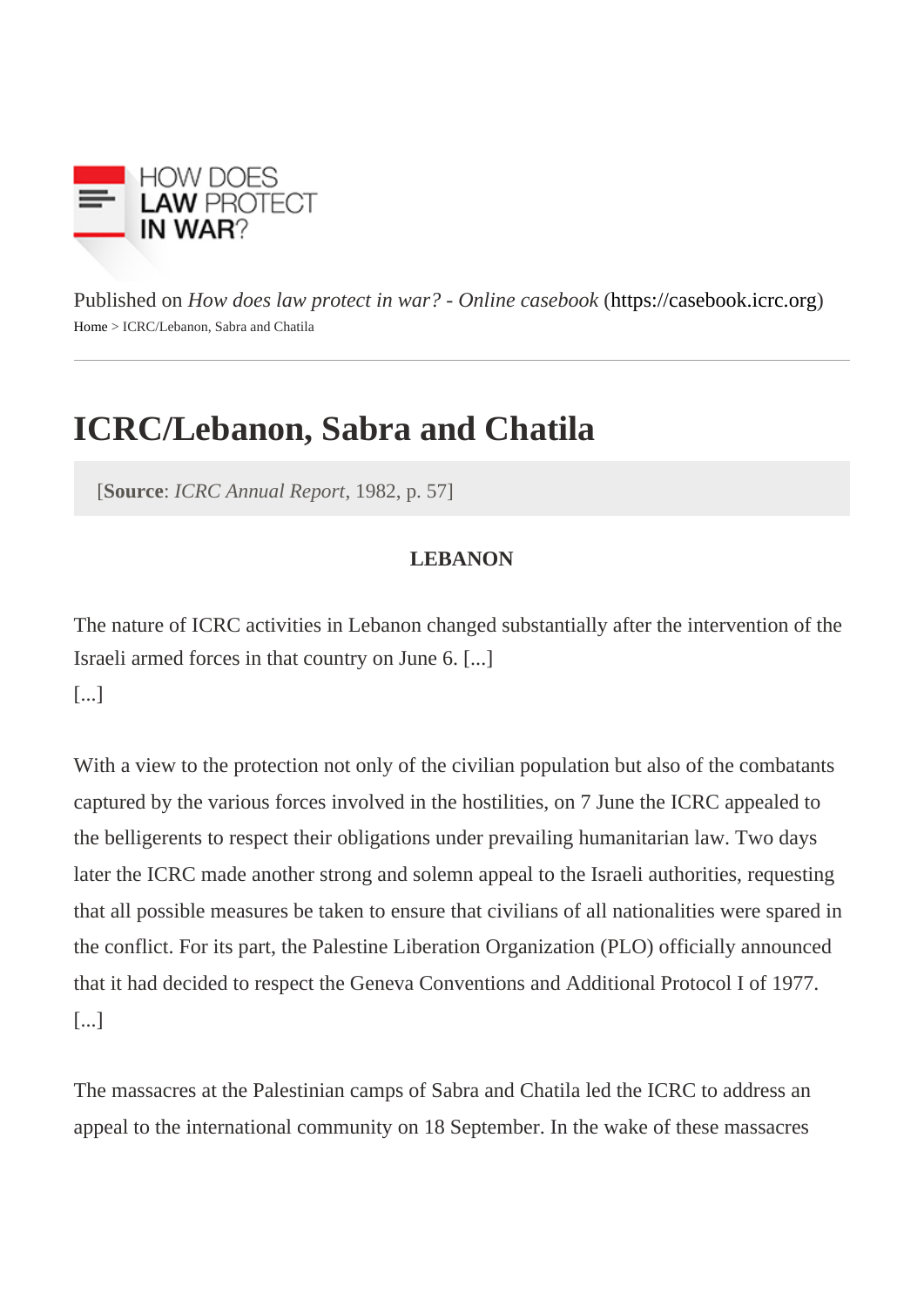Published on How does law protect in war? - Online caseboot in caseb[ook](https://casebook.icrc.org).icrc.org Home> ICRC/Lebanon, Sabra and Chatila

## ICRC/Lebanon, Sabra and Chatila

[Source ICRC Annual Report 1982, p. 57]

## **LEBANON**

The nature of ICRC activities in Lebanon changed substantially after the intervention of the Israeli armed forces in that country on June 6. [...]

[...]

With a view to the protection not only of the civilian population but also of the combatants captured by the various forces involved in the hostilities, on 7 June the ICRC appealed to the belligerents to respect their obligations under prevailing humanitarian law. Two days later the ICRC made another strong and solemn appeal to the Israeli authorities, requesting that all possible measures be taken to ensure that civilians of all nationalities were spared in the conflict. For its part, the Palestine Liberation Organization (PLO) officially announced that it had decided to respect the Geneva Conventions and Additional Protocol I of 1977. [...]

The massacres at the Palestinian camps of Sabra and Chatila led the ICRC to address an appeal to the international community on 18 September. In the wake of these massacres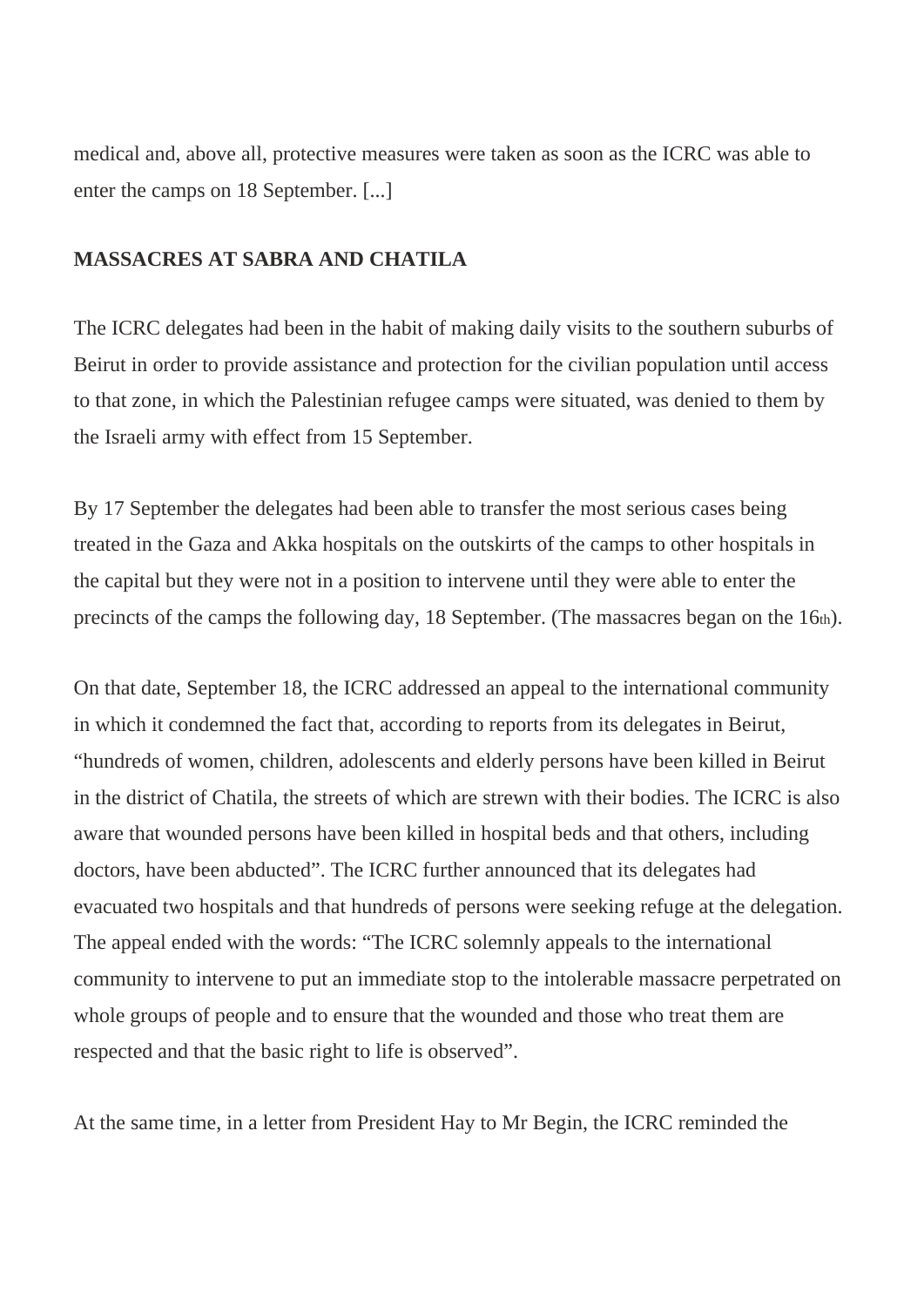medical and, above all, protective measures were taken as soon as the ICRC was able to enter the camps on 18 September. [...]

## **MASSACRES AT SABRA AND CHATILA**

The ICRC delegates had been in the habit of making daily visits to the southern suburbs of Beirut in order to provide assistance and protection for the civilian population until access to that zone, in which the Palestinian refugee camps were situated, was denied to them by the Israeli army with effect from 15 September.

By 17 September the delegates had been able to transfer the most serious cases being treated in the Gaza and Akka hospitals on the outskirts of the camps to other hospitals in the capital but they were not in a position to intervene until they were able to enter the precincts of the camps the following day, 18 September. (The massacres began on the 16th).

On that date, September 18, the ICRC addressed an appeal to the international community in which it condemned the fact that, according to reports from its delegates in Beirut, "hundreds of women, children, adolescents and elderly persons have been killed in Beirut in the district of Chatila, the streets of which are strewn with their bodies. The ICRC is also aware that wounded persons have been killed in hospital beds and that others, including doctors, have been abducted". The ICRC further announced that its delegates had evacuated two hospitals and that hundreds of persons were seeking refuge at the delegation. The appeal ended with the words: "The ICRC solemnly appeals to the international community to intervene to put an immediate stop to the intolerable massacre perpetrated on whole groups of people and to ensure that the wounded and those who treat them are respected and that the basic right to life is observed".

At the same time, in a letter from President Hay to Mr Begin, the ICRC reminded the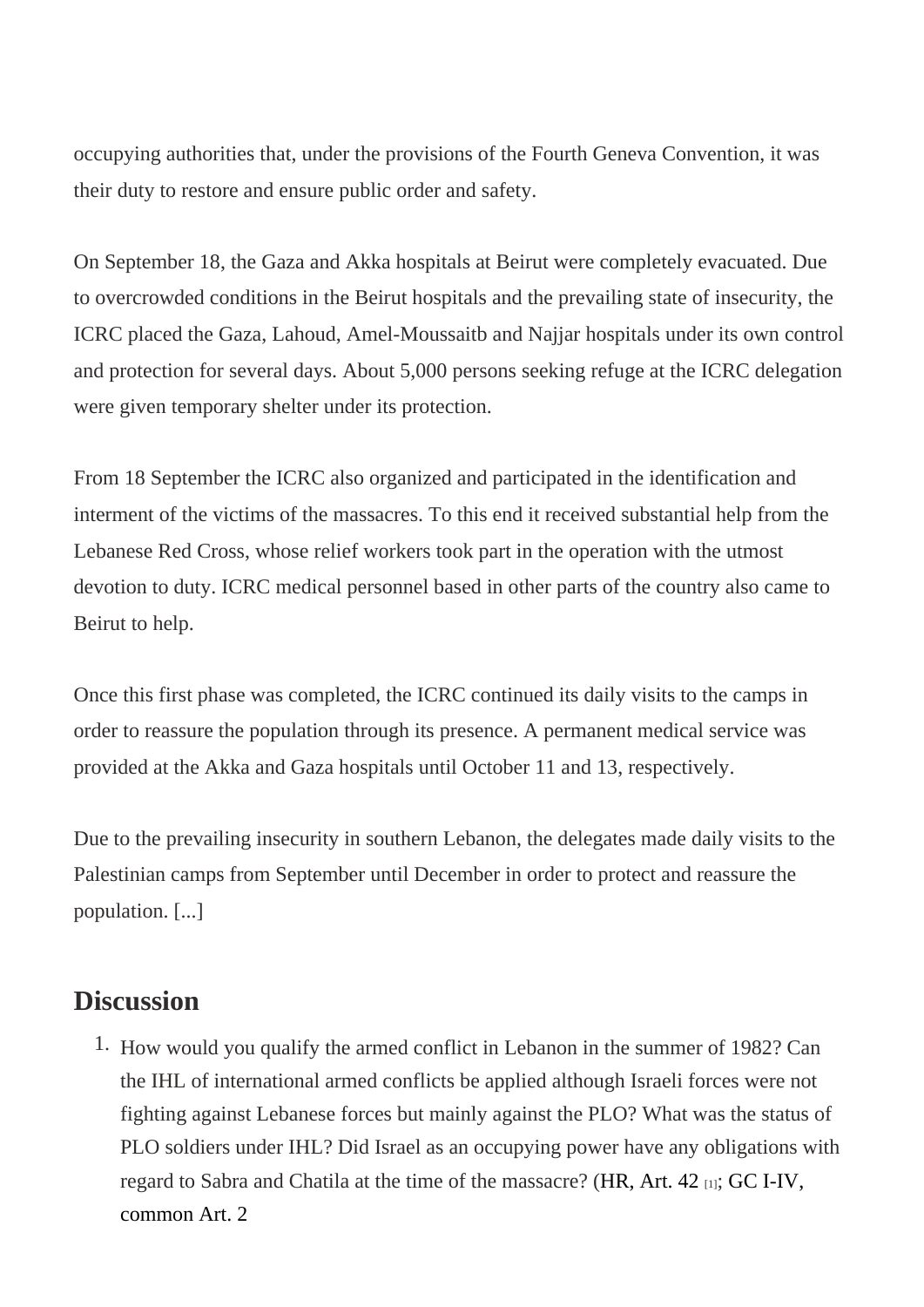occupying authorities that, under the provisions of the Fourth Geneva Convention, it was their duty to restore and ensure public order and safety.

On September 18, the Gaza and Akka hospitals at Beirut were completely evacuated. Due to overcrowded conditions in the Beirut hospitals and the prevailing state of insecurity, the ICRC placed the Gaza, Lahoud, Amel-Moussaitb and Najjar hospitals under its own control and protection for several days. About 5,000 persons seeking refuge at the ICRC delegation were given temporary shelter under its protection.

From 18 September the ICRC also organized and participated in the identification and interment of the victims of the massacres. To this end it received substantial help from the Lebanese Red Cross, whose relief workers took part in the operation with the utmost devotion to duty. ICRC medical personnel based in other parts of the country also came to Beirut to help.

Once this first phase was completed, the ICRC continued its daily visits to the camps in order to reassure the population through its presence. A permanent medical service was provided at the Akka and Gaza hospitals until October 11 and 13, respectively.

Due to the prevailing insecurity in southern Lebanon, the delegates made daily visits to the Palestinian camps from September until December in order to protect and reassure the population. [...]

## **Discussion**

1. How would you qualify the armed conflict in Lebanon in the summer of 1982? Can the IHL of international armed conflicts be applied although Israeli forces were not fighting against Lebanese forces but mainly against the PLO? What was the status of PLO soldiers under IHL? Did Israel as an occupying power have any obligations with regard to Sabra and Chatila at the time of the massadore  $\mathcal{R}(t, 42_{[1]};$  GC I-IV, [common Art. 2](https://www.icrc.org/applic/ihl/ihl.nsf/Article.xsp?action=openDocument&documentId=41229BA1D6F7E573C12563CD00519E4A)